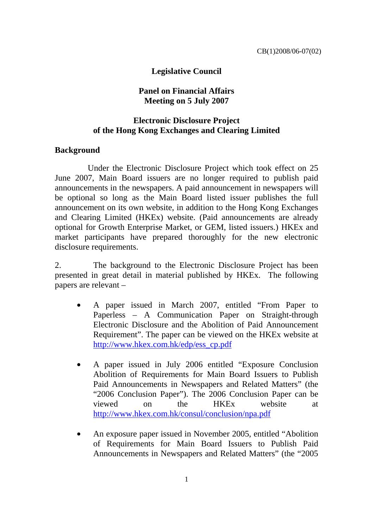#### **Legislative Council**

#### **Panel on Financial Affairs Meeting on 5 July 2007**

## **Electronic Disclosure Project of the Hong Kong Exchanges and Clearing Limited**

#### **Background**

 Under the Electronic Disclosure Project which took effect on 25 June 2007, Main Board issuers are no longer required to publish paid announcements in the newspapers. A paid announcement in newspapers will be optional so long as the Main Board listed issuer publishes the full announcement on its own website, in addition to the Hong Kong Exchanges and Clearing Limited (HKEx) website. (Paid announcements are already optional for Growth Enterprise Market, or GEM, listed issuers.) HKEx and market participants have prepared thoroughly for the new electronic disclosure requirements.

2. The background to the Electronic Disclosure Project has been presented in great detail in material published by HKEx. The following papers are relevant –

- A paper issued in March 2007, entitled "From Paper to Paperless – A Communication Paper on Straight-through Electronic Disclosure and the Abolition of Paid Announcement Requirement". The paper can be viewed on the HKEx website at http://www.hkex.com.hk/edp/ess\_cp.pdf
- A paper issued in July 2006 entitled "Exposure Conclusion" Abolition of Requirements for Main Board Issuers to Publish Paid Announcements in Newspapers and Related Matters" (the "2006 Conclusion Paper"). The 2006 Conclusion Paper can be viewed on the HKEx website at http://www.hkex.com.hk/consul/conclusion/npa.pdf
- An exposure paper issued in November 2005, entitled "Abolition" of Requirements for Main Board Issuers to Publish Paid Announcements in Newspapers and Related Matters" (the "2005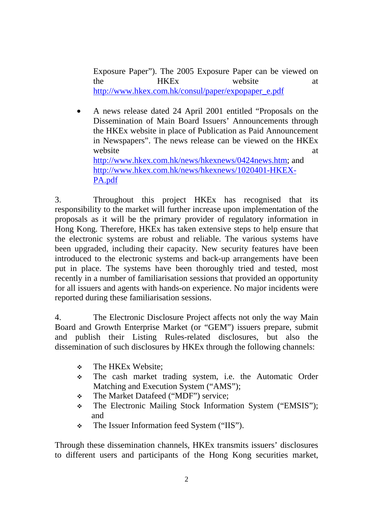Exposure Paper"). The 2005 Exposure Paper can be viewed on the HKEx website at http://www.hkex.com.hk/consul/paper/expopaper\_e.pdf

• A news release dated 24 April 2001 entitled "Proposals on the Dissemination of Main Board Issuers' Announcements through the HKEx website in place of Publication as Paid Announcement in Newspapers". The news release can be viewed on the HKEx website at a state of  $\alpha$  at a state at a state of  $\alpha$  at a state of  $\alpha$  at a state of  $\alpha$  at a state of  $\alpha$  at a state of  $\alpha$  at a state of  $\alpha$  at a state of  $\alpha$  at a state of  $\alpha$  at a state of  $\alpha$  at a state of http://www.hkex.com.hk/news/hkexnews/0424news.htm; and http://www.hkex.com.hk/news/hkexnews/1020401-HKEX-PA.pdf

3. Throughout this project HKEx has recognised that its responsibility to the market will further increase upon implementation of the proposals as it will be the primary provider of regulatory information in Hong Kong. Therefore, HKEx has taken extensive steps to help ensure that the electronic systems are robust and reliable. The various systems have been upgraded, including their capacity. New security features have been introduced to the electronic systems and back-up arrangements have been put in place. The systems have been thoroughly tried and tested, most recently in a number of familiarisation sessions that provided an opportunity for all issuers and agents with hands-on experience. No major incidents were reported during these familiarisation sessions.

4. The Electronic Disclosure Project affects not only the way Main Board and Growth Enterprise Market (or "GEM") issuers prepare, submit and publish their Listing Rules-related disclosures, but also the dissemination of such disclosures by HKEx through the following channels:

- $\div$  The HKEx Website:
- The cash market trading system, i.e. the Automatic Order Matching and Execution System ("AMS");
- The Market Datafeed ("MDF") service;
- The Electronic Mailing Stock Information System ("EMSIS"); and
- The Issuer Information feed System ("IIS").

Through these dissemination channels, HKEx transmits issuers' disclosures to different users and participants of the Hong Kong securities market,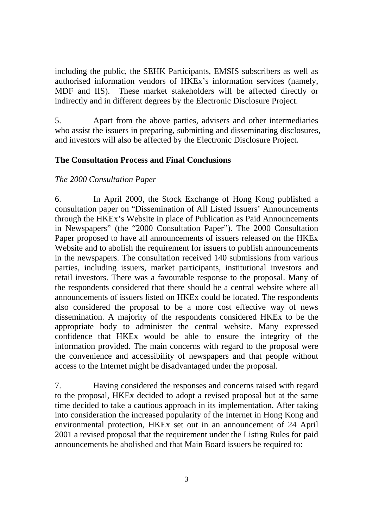including the public, the SEHK Participants, EMSIS subscribers as well as authorised information vendors of HKEx's information services (namely, MDF and IIS). These market stakeholders will be affected directly or indirectly and in different degrees by the Electronic Disclosure Project.

5. Apart from the above parties, advisers and other intermediaries who assist the issuers in preparing, submitting and disseminating disclosures, and investors will also be affected by the Electronic Disclosure Project.

## **The Consultation Process and Final Conclusions**

# *The 2000 Consultation Paper*

6. In April 2000, the Stock Exchange of Hong Kong published a consultation paper on "Dissemination of All Listed Issuers' Announcements through the HKEx's Website in place of Publication as Paid Announcements in Newspapers" (the "2000 Consultation Paper"). The 2000 Consultation Paper proposed to have all announcements of issuers released on the HKEx Website and to abolish the requirement for issuers to publish announcements in the newspapers. The consultation received 140 submissions from various parties, including issuers, market participants, institutional investors and retail investors. There was a favourable response to the proposal. Many of the respondents considered that there should be a central website where all announcements of issuers listed on HKEx could be located. The respondents also considered the proposal to be a more cost effective way of news dissemination. A majority of the respondents considered HKEx to be the appropriate body to administer the central website. Many expressed confidence that HKEx would be able to ensure the integrity of the information provided. The main concerns with regard to the proposal were the convenience and accessibility of newspapers and that people without access to the Internet might be disadvantaged under the proposal.

7. Having considered the responses and concerns raised with regard to the proposal, HKEx decided to adopt a revised proposal but at the same time decided to take a cautious approach in its implementation. After taking into consideration the increased popularity of the Internet in Hong Kong and environmental protection, HKEx set out in an announcement of 24 April 2001 a revised proposal that the requirement under the Listing Rules for paid announcements be abolished and that Main Board issuers be required to: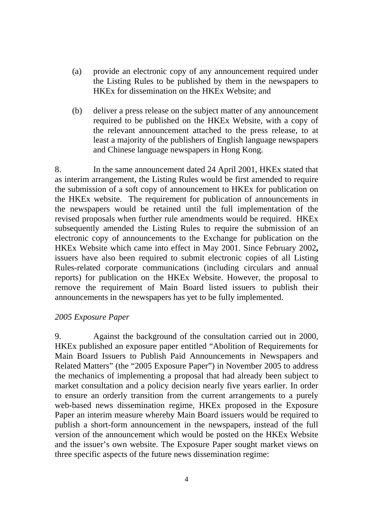- (a) provide an electronic copy of any announcement required under the Listing Rules to be published by them in the newspapers to HKEx for dissemination on the HKEx Website; and
- (b) deliver a press release on the subject matter of any announcement required to be published on the HKEx Website, with a copy of the relevant announcement attached to the press release, to at least a majority of the publishers of English language newspapers and Chinese language newspapers in Hong Kong.

8. In the same announcement dated 24 April 2001, HKEx stated that as interim arrangement, the Listing Rules would be first amended to require the submission of a soft copy of announcement to HKEx for publication on the HKEx website. The requirement for publication of announcements in the newspapers would be retained until the full implementation of the revised proposals when further rule amendments would be required. HKEx subsequently amended the Listing Rules to require the submission of an electronic copy of announcements to the Exchange for publication on the HKEx Website which came into effect in May 2001. Since February 2002**,** issuers have also been required to submit electronic copies of all Listing Rules-related corporate communications (including circulars and annual reports) for publication on the HKEx Website. However, the proposal to remove the requirement of Main Board listed issuers to publish their announcements in the newspapers has yet to be fully implemented.

#### *2005 Exposure Paper*

9. Against the background of the consultation carried out in 2000, HKEx published an exposure paper entitled "Abolition of Requirements for Main Board Issuers to Publish Paid Announcements in Newspapers and Related Matters" (the "2005 Exposure Paper") in November 2005 to address the mechanics of implementing a proposal that had already been subject to market consultation and a policy decision nearly five years earlier. In order to ensure an orderly transition from the current arrangements to a purely web-based news dissemination regime, HKEx proposed in the Exposure Paper an interim measure whereby Main Board issuers would be required to publish a short-form announcement in the newspapers, instead of the full version of the announcement which would be posted on the HKEx Website and the issuer's own website. The Exposure Paper sought market views on three specific aspects of the future news dissemination regime: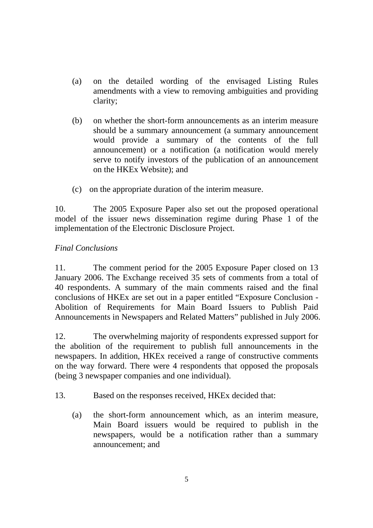- (a) on the detailed wording of the envisaged Listing Rules amendments with a view to removing ambiguities and providing clarity;
- (b) on whether the short-form announcements as an interim measure should be a summary announcement (a summary announcement would provide a summary of the contents of the full announcement) or a notification (a notification would merely serve to notify investors of the publication of an announcement on the HKEx Website); and
- (c) on the appropriate duration of the interim measure.

10. The 2005 Exposure Paper also set out the proposed operational model of the issuer news dissemination regime during Phase 1 of the implementation of the Electronic Disclosure Project.

#### *Final Conclusions*

11. The comment period for the 2005 Exposure Paper closed on 13 January 2006. The Exchange received 35 sets of comments from a total of 40 respondents. A summary of the main comments raised and the final conclusions of HKEx are set out in a paper entitled "Exposure Conclusion - Abolition of Requirements for Main Board Issuers to Publish Paid Announcements in Newspapers and Related Matters" published in July 2006.

12. The overwhelming majority of respondents expressed support for the abolition of the requirement to publish full announcements in the newspapers. In addition, HKEx received a range of constructive comments on the way forward. There were 4 respondents that opposed the proposals (being 3 newspaper companies and one individual).

- 13. Based on the responses received, HKEx decided that:
	- (a) the short-form announcement which, as an interim measure, Main Board issuers would be required to publish in the newspapers, would be a notification rather than a summary announcement; and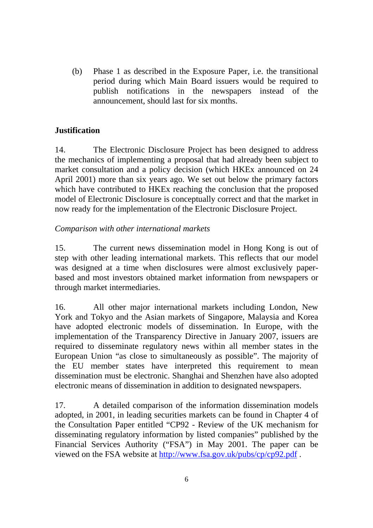(b) Phase 1 as described in the Exposure Paper, i.e. the transitional period during which Main Board issuers would be required to publish notifications in the newspapers instead of the announcement, should last for six months.

## **Justification**

14. The Electronic Disclosure Project has been designed to address the mechanics of implementing a proposal that had already been subject to market consultation and a policy decision (which HKEx announced on 24 April 2001) more than six years ago. We set out below the primary factors which have contributed to HKEx reaching the conclusion that the proposed model of Electronic Disclosure is conceptually correct and that the market in now ready for the implementation of the Electronic Disclosure Project.

#### *Comparison with other international markets*

15. The current news dissemination model in Hong Kong is out of step with other leading international markets. This reflects that our model was designed at a time when disclosures were almost exclusively paperbased and most investors obtained market information from newspapers or through market intermediaries.

16. All other major international markets including London, New York and Tokyo and the Asian markets of Singapore, Malaysia and Korea have adopted electronic models of dissemination. In Europe, with the implementation of the Transparency Directive in January 2007, issuers are required to disseminate regulatory news within all member states in the European Union "as close to simultaneously as possible". The majority of the EU member states have interpreted this requirement to mean dissemination must be electronic. Shanghai and Shenzhen have also adopted electronic means of dissemination in addition to designated newspapers.

17. A detailed comparison of the information dissemination models adopted, in 2001, in leading securities markets can be found in Chapter 4 of the Consultation Paper entitled "CP92 - Review of the UK mechanism for disseminating regulatory information by listed companies" published by the Financial Services Authority ("FSA") in May 2001. The paper can be viewed on the FSA website at http://www.fsa.gov.uk/pubs/cp/cp92.pdf .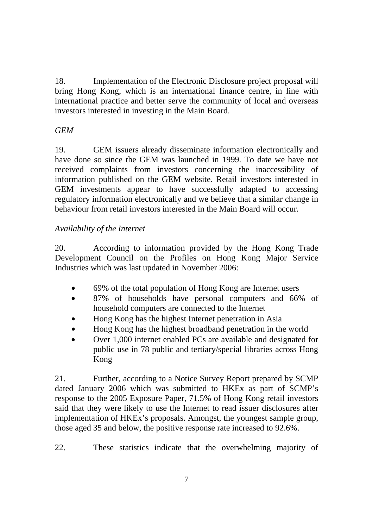18. Implementation of the Electronic Disclosure project proposal will bring Hong Kong, which is an international finance centre, in line with international practice and better serve the community of local and overseas investors interested in investing in the Main Board.

# *GEM*

19. GEM issuers already disseminate information electronically and have done so since the GEM was launched in 1999. To date we have not received complaints from investors concerning the inaccessibility of information published on the GEM website. Retail investors interested in GEM investments appear to have successfully adapted to accessing regulatory information electronically and we believe that a similar change in behaviour from retail investors interested in the Main Board will occur.

## *Availability of the Internet*

20. According to information provided by the Hong Kong Trade Development Council on the Profiles on Hong Kong Major Service Industries which was last updated in November 2006:

- 69% of the total population of Hong Kong are Internet users
- 87% of households have personal computers and 66% of household computers are connected to the Internet
- Hong Kong has the highest Internet penetration in Asia
- Hong Kong has the highest broadband penetration in the world
- Over 1,000 internet enabled PCs are available and designated for public use in 78 public and tertiary/special libraries across Hong Kong

21. Further, according to a Notice Survey Report prepared by SCMP dated January 2006 which was submitted to HKEx as part of SCMP's response to the 2005 Exposure Paper, 71.5% of Hong Kong retail investors said that they were likely to use the Internet to read issuer disclosures after implementation of HKEx's proposals. Amongst, the youngest sample group, those aged 35 and below, the positive response rate increased to 92.6%.

22. These statistics indicate that the overwhelming majority of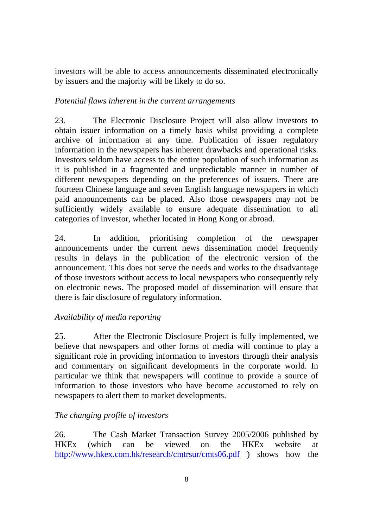investors will be able to access announcements disseminated electronically by issuers and the majority will be likely to do so.

## *Potential flaws inherent in the current arrangements*

23. The Electronic Disclosure Project will also allow investors to obtain issuer information on a timely basis whilst providing a complete archive of information at any time. Publication of issuer regulatory information in the newspapers has inherent drawbacks and operational risks. Investors seldom have access to the entire population of such information as it is published in a fragmented and unpredictable manner in number of different newspapers depending on the preferences of issuers. There are fourteen Chinese language and seven English language newspapers in which paid announcements can be placed. Also those newspapers may not be sufficiently widely available to ensure adequate dissemination to all categories of investor, whether located in Hong Kong or abroad.

24. In addition, prioritising completion of the newspaper announcements under the current news dissemination model frequently results in delays in the publication of the electronic version of the announcement. This does not serve the needs and works to the disadvantage of those investors without access to local newspapers who consequently rely on electronic news. The proposed model of dissemination will ensure that there is fair disclosure of regulatory information.

## *Availability of media reporting*

25. After the Electronic Disclosure Project is fully implemented, we believe that newspapers and other forms of media will continue to play a significant role in providing information to investors through their analysis and commentary on significant developments in the corporate world. In particular we think that newspapers will continue to provide a source of information to those investors who have become accustomed to rely on newspapers to alert them to market developments.

## *The changing profile of investors*

26. The Cash Market Transaction Survey 2005/2006 published by HKEx (which can be viewed on the HKEx website at http://www.hkex.com.hk/research/cmtrsur/cmts06.pdf ) shows how the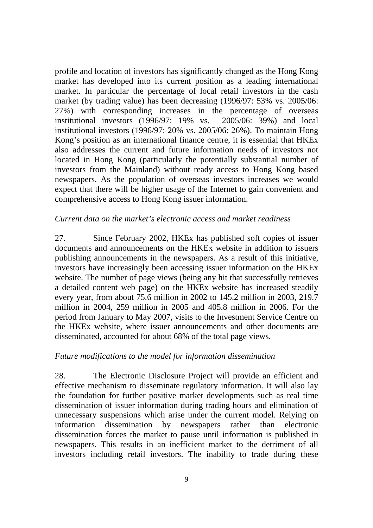profile and location of investors has significantly changed as the Hong Kong market has developed into its current position as a leading international market. In particular the percentage of local retail investors in the cash market (by trading value) has been decreasing (1996/97: 53% vs. 2005/06: 27%) with corresponding increases in the percentage of overseas institutional investors (1996/97: 19% vs. 2005/06: 39%) and local institutional investors (1996/97: 20% vs. 2005/06: 26%). To maintain Hong Kong's position as an international finance centre, it is essential that HKEx also addresses the current and future information needs of investors not located in Hong Kong (particularly the potentially substantial number of investors from the Mainland) without ready access to Hong Kong based newspapers. As the population of overseas investors increases we would expect that there will be higher usage of the Internet to gain convenient and comprehensive access to Hong Kong issuer information.

#### *Current data on the market's electronic access and market readiness*

27. Since February 2002, HKEx has published soft copies of issuer documents and announcements on the HKEx website in addition to issuers publishing announcements in the newspapers. As a result of this initiative, investors have increasingly been accessing issuer information on the HKEx website. The number of page views (being any hit that successfully retrieves a detailed content web page) on the HKEx website has increased steadily every year, from about 75.6 million in 2002 to 145.2 million in 2003, 219.7 million in 2004, 259 million in 2005 and 405.8 million in 2006. For the period from January to May 2007, visits to the Investment Service Centre on the HKEx website, where issuer announcements and other documents are disseminated, accounted for about 68% of the total page views.

#### *Future modifications to the model for information dissemination*

28. The Electronic Disclosure Project will provide an efficient and effective mechanism to disseminate regulatory information. It will also lay the foundation for further positive market developments such as real time dissemination of issuer information during trading hours and elimination of unnecessary suspensions which arise under the current model. Relying on information dissemination by newspapers rather than electronic dissemination forces the market to pause until information is published in newspapers. This results in an inefficient market to the detriment of all investors including retail investors. The inability to trade during these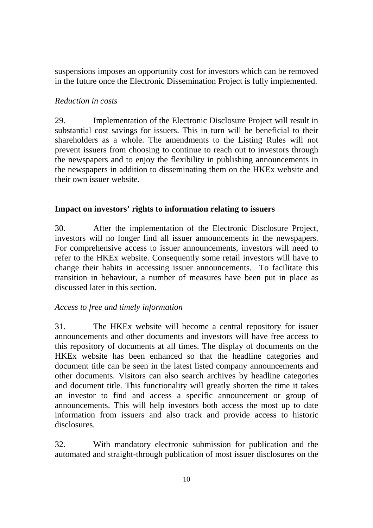suspensions imposes an opportunity cost for investors which can be removed in the future once the Electronic Dissemination Project is fully implemented.

#### *Reduction in costs*

29. Implementation of the Electronic Disclosure Project will result in substantial cost savings for issuers. This in turn will be beneficial to their shareholders as a whole. The amendments to the Listing Rules will not prevent issuers from choosing to continue to reach out to investors through the newspapers and to enjoy the flexibility in publishing announcements in the newspapers in addition to disseminating them on the HKEx website and their own issuer website.

## **Impact on investors' rights to information relating to issuers**

30. After the implementation of the Electronic Disclosure Project, investors will no longer find all issuer announcements in the newspapers. For comprehensive access to issuer announcements, investors will need to refer to the HKEx website. Consequently some retail investors will have to change their habits in accessing issuer announcements. To facilitate this transition in behaviour, a number of measures have been put in place as discussed later in this section.

## *Access to free and timely information*

31. The HKEx website will become a central repository for issuer announcements and other documents and investors will have free access to this repository of documents at all times. The display of documents on the HKEx website has been enhanced so that the headline categories and document title can be seen in the latest listed company announcements and other documents. Visitors can also search archives by headline categories and document title. This functionality will greatly shorten the time it takes an investor to find and access a specific announcement or group of announcements. This will help investors both access the most up to date information from issuers and also track and provide access to historic disclosures.

32. With mandatory electronic submission for publication and the automated and straight-through publication of most issuer disclosures on the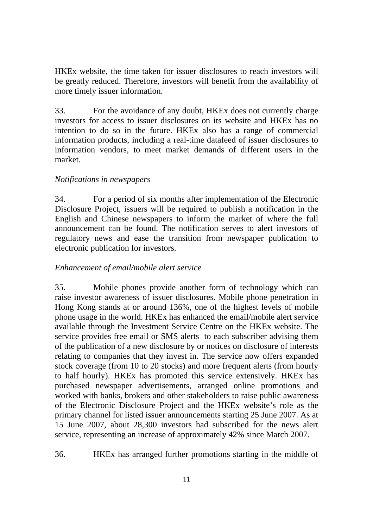HKEx website, the time taken for issuer disclosures to reach investors will be greatly reduced. Therefore, investors will benefit from the availability of more timely issuer information.

33. For the avoidance of any doubt, HKEx does not currently charge investors for access to issuer disclosures on its website and HKEx has no intention to do so in the future. HKEx also has a range of commercial information products, including a real-time datafeed of issuer disclosures to information vendors, to meet market demands of different users in the market.

#### *Notifications in newspapers*

34. For a period of six months after implementation of the Electronic Disclosure Project, issuers will be required to publish a notification in the English and Chinese newspapers to inform the market of where the full announcement can be found. The notification serves to alert investors of regulatory news and ease the transition from newspaper publication to electronic publication for investors.

#### *Enhancement of email/mobile alert service*

35. Mobile phones provide another form of technology which can raise investor awareness of issuer disclosures. Mobile phone penetration in Hong Kong stands at or around 136%, one of the highest levels of mobile phone usage in the world. HKEx has enhanced the email/mobile alert service available through the Investment Service Centre on the HKEx website. The service provides free email or SMS alerts to each subscriber advising them of the publication of a new disclosure by or notices on disclosure of interests relating to companies that they invest in. The service now offers expanded stock coverage (from 10 to 20 stocks) and more frequent alerts (from hourly to half hourly). HKEx has promoted this service extensively. HKEx has purchased newspaper advertisements, arranged online promotions and worked with banks, brokers and other stakeholders to raise public awareness of the Electronic Disclosure Project and the HKEx website's role as the primary channel for listed issuer announcements starting 25 June 2007. As at 15 June 2007, about 28,300 investors had subscribed for the news alert service, representing an increase of approximately 42% since March 2007.

36. HKEx has arranged further promotions starting in the middle of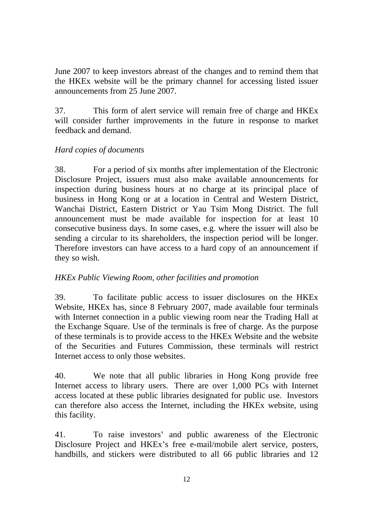June 2007 to keep investors abreast of the changes and to remind them that the HKEx website will be the primary channel for accessing listed issuer announcements from 25 June 2007.

37. This form of alert service will remain free of charge and HKEx will consider further improvements in the future in response to market feedback and demand.

## *Hard copies of documents*

38. For a period of six months after implementation of the Electronic Disclosure Project, issuers must also make available announcements for inspection during business hours at no charge at its principal place of business in Hong Kong or at a location in Central and Western District, Wanchai District, Eastern District or Yau Tsim Mong District. The full announcement must be made available for inspection for at least 10 consecutive business days. In some cases, e.g. where the issuer will also be sending a circular to its shareholders, the inspection period will be longer. Therefore investors can have access to a hard copy of an announcement if they so wish.

## *HKEx Public Viewing Room, other facilities and promotion*

39. To facilitate public access to issuer disclosures on the HKEx Website, HKEx has, since 8 February 2007, made available four terminals with Internet connection in a public viewing room near the Trading Hall at the Exchange Square. Use of the terminals is free of charge. As the purpose of these terminals is to provide access to the HKEx Website and the website of the Securities and Futures Commission, these terminals will restrict Internet access to only those websites.

40. We note that all public libraries in Hong Kong provide free Internet access to library users. There are over 1,000 PCs with Internet access located at these public libraries designated for public use. Investors can therefore also access the Internet, including the HKEx website, using this facility.

41. To raise investors' and public awareness of the Electronic Disclosure Project and HKEx's free e-mail/mobile alert service, posters, handbills, and stickers were distributed to all 66 public libraries and 12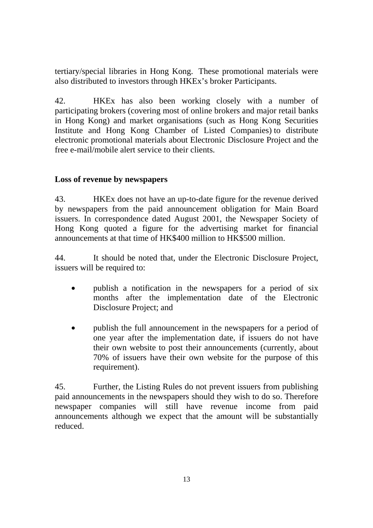tertiary/special libraries in Hong Kong. These promotional materials were also distributed to investors through HKEx's broker Participants.

42. HKEx has also been working closely with a number of participating brokers (covering most of online brokers and major retail banks in Hong Kong) and market organisations (such as Hong Kong Securities Institute and Hong Kong Chamber of Listed Companies) to distribute electronic promotional materials about Electronic Disclosure Project and the free e-mail/mobile alert service to their clients.

## **Loss of revenue by newspapers**

43. HKEx does not have an up-to-date figure for the revenue derived by newspapers from the paid announcement obligation for Main Board issuers. In correspondence dated August 2001, the Newspaper Society of Hong Kong quoted a figure for the advertising market for financial announcements at that time of HK\$400 million to HK\$500 million.

44. It should be noted that, under the Electronic Disclosure Project, issuers will be required to:

- publish a notification in the newspapers for a period of six months after the implementation date of the Electronic Disclosure Project; and
- publish the full announcement in the newspapers for a period of one year after the implementation date, if issuers do not have their own website to post their announcements (currently, about 70% of issuers have their own website for the purpose of this requirement).

45. Further, the Listing Rules do not prevent issuers from publishing paid announcements in the newspapers should they wish to do so. Therefore newspaper companies will still have revenue income from paid announcements although we expect that the amount will be substantially reduced.